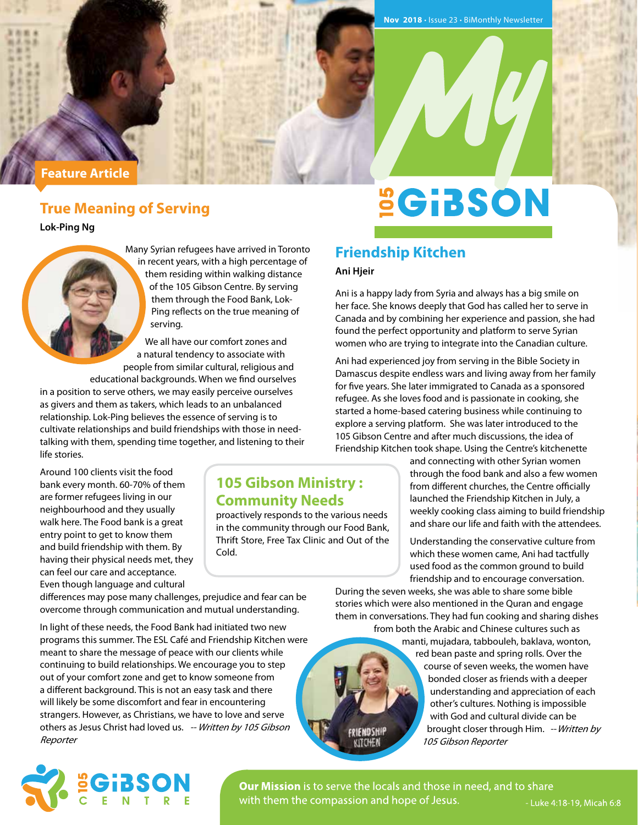#### **Feature Article**

## **True Meaning of Serving**

**Lok-Ping Ng**

Many Syrian refugees have arrived in Toronto in recent years, with a high percentage of them residing within walking distance of the 105 Gibson Centre. By serving them through the Food Bank, Lok-Ping reflects on the true meaning of serving.

We all have our comfort zones and a natural tendency to associate with people from similar cultural, religious and

educational backgrounds. When we find ourselves in a position to serve others, we may easily perceive ourselves as givers and them as takers, which leads to an unbalanced relationship. Lok-Ping believes the essence of serving is to cultivate relationships and build friendships with those in needtalking with them, spending time together, and listening to their life stories.

Around 100 clients visit the food bank every month. 60-70% of them are former refugees living in our neighbourhood and they usually walk here. The Food bank is a great entry point to get to know them and build friendship with them. By having their physical needs met, they can feel our care and acceptance. Even though language and cultural

**105 Gibson Ministry : Community Needs** 

proactively responds to the various needs in the community through our Food Bank, Thrift Store, Free Tax Clinic and Out of the Cold.

**SGIBSON** 

## **Friendship Kitchen**

#### **Ani Hjeir**

Ani is a happy lady from Syria and always has a big smile on her face. She knows deeply that God has called her to serve in Canada and by combining her experience and passion, she had found the perfect opportunity and platform to serve Syrian women who are trying to integrate into the Canadian culture.

Ani had experienced joy from serving in the Bible Society in Damascus despite endless wars and living away from her family for five years. She later immigrated to Canada as a sponsored refugee. As she loves food and is passionate in cooking, she started a home-based catering business while continuing to explore a serving platform. She was later introduced to the 105 Gibson Centre and after much discussions, the idea of Friendship Kitchen took shape. Using the Centre's kitchenette

> and connecting with other Syrian women through the food bank and also a few women from different churches, the Centre officially launched the Friendship Kitchen in July, a weekly cooking class aiming to build friendship and share our life and faith with the attendees.

Understanding the conservative culture from which these women came, Ani had tactfully used food as the common ground to build friendship and to encourage conversation.

During the seven weeks, she was able to share some bible stories which were also mentioned in the Quran and engage them in conversations. They had fun cooking and sharing dishes from both the Arabic and Chinese cultures such as

manti, mujadara, tabbouleh, baklava, wonton, red bean paste and spring rolls. Over the course of seven weeks, the women have bonded closer as friends with a deeper understanding and appreciation of each other's cultures. Nothing is impossible with God and cultural divide can be brought closer through Him. -- Written by 105 Gibson Reporter

differences may pose many challenges, prejudice and fear can be overcome through communication and mutual understanding.

In light of these needs, the Food Bank had initiated two new programs this summer. The ESL Café and Friendship Kitchen were meant to share the message of peace with our clients while continuing to build relationships. We encourage you to step out of your comfort zone and get to know someone from a different background. This is not an easy task and there will likely be some discomfort and fear in encountering strangers. However, as Christians, we have to love and serve others as Jesus Christ had loved us. -- Written by 105 Gibson **Reporter** 



Our Mission is to serve the locals and those in need, and to share with them the compassion and hope of Jesus.

FRIENDSHIP KITCHEN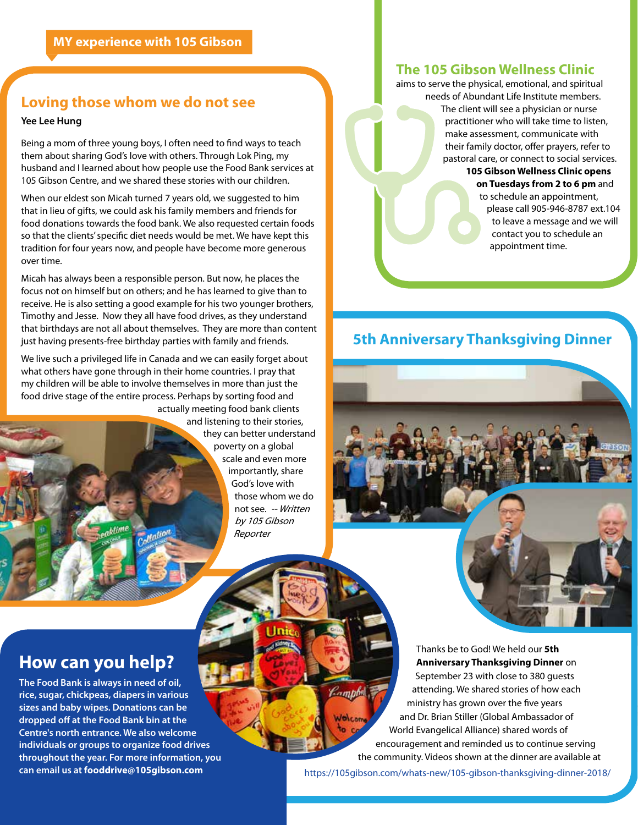### **Loving those whom we do not see**

#### **Yee Lee Hung**

Being a mom of three young boys, I often need to find ways to teach them about sharing God's love with others. Through Lok Ping, my husband and I learned about how people use the Food Bank services at 105 Gibson Centre, and we shared these stories with our children.

When our eldest son Micah turned 7 years old, we suggested to him that in lieu of gifts, we could ask his family members and friends for food donations towards the food bank. We also requested certain foods so that the clients' specific diet needs would be met. We have kept this tradition for four years now, and people have become more generous over time.

Micah has always been a responsible person. But now, he places the focus not on himself but on others; and he has learned to give than to receive. He is also setting a good example for his two younger brothers, Timothy and Jesse. Now they all have food drives, as they understand that birthdays are not all about themselves. They are more than content just having presents-free birthday parties with family and friends.

We live such a privileged life in Canada and we can easily forget about what others have gone through in their home countries. I pray that my children will be able to involve themselves in more than just the food drive stage of the entire process. Perhaps by sorting food and actually meeting food bank clients

Mation

and listening to their stories, they can better understand poverty on a global scale and even more importantly, share God's love with those whom we do not see. -- Written by 105 Gibson Reporter

## **The 105 Gibson Wellness Clinic**

aims to serve the physical, emotional, and spiritual needs of Abundant Life Institute members. The client will see a physician or nurse practitioner who will take time to listen, make assessment, communicate with their family doctor, offer prayers, refer to pastoral care, or connect to social services.

#### **105 Gibson Wellness Clinic opens on Tuesdays from 2 to 6 pm** and to schedule an appointment, please call 905-946-8787 ext.104 to leave a message and we will contact you to schedule an appointment time.

## **5th Anniversary Thanksgiving Dinner**



## **How can you help?**

**The Food Bank is always in need of oil, rice, sugar, chickpeas, diapers in various sizes and baby wipes. Donations can be dropped off at the Food Bank bin at the Centre's north entrance. We also welcome individuals or groups to organize food drives throughout the year. For more information, you can email us at fooddrive@105gibson.com**

aktime

Thanks be to God! We held our **5th Anniversary Thanksgiving Dinner** on September 23 with close to 380 guests attending. We shared stories of how each *<u>Campbell</u>* ministry has grown over the five years and Dr. Brian Stiller (Global Ambassador of Wolcom World Evangelical Alliance) shared words of encouragement and reminded us to continue serving the community. Videos shown at the dinner are available at https://105gibson.com/whats-new/105-gibson-thanksgiving-dinner-2018/